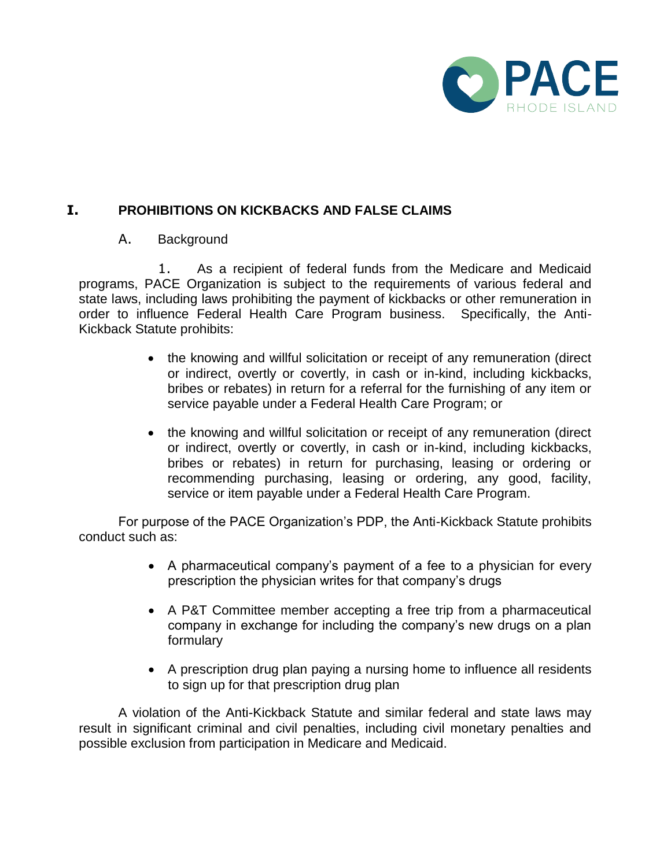

## **I. PROHIBITIONS ON KICKBACKS AND FALSE CLAIMS**

## A. Background

1. As a recipient of federal funds from the Medicare and Medicaid programs, PACE Organization is subject to the requirements of various federal and state laws, including laws prohibiting the payment of kickbacks or other remuneration in order to influence Federal Health Care Program business. Specifically, the Anti-Kickback Statute prohibits:

- the knowing and willful solicitation or receipt of any remuneration (direct or indirect, overtly or covertly, in cash or in-kind, including kickbacks, bribes or rebates) in return for a referral for the furnishing of any item or service payable under a Federal Health Care Program; or
- the knowing and willful solicitation or receipt of any remuneration (direct or indirect, overtly or covertly, in cash or in-kind, including kickbacks, bribes or rebates) in return for purchasing, leasing or ordering or recommending purchasing, leasing or ordering, any good, facility, service or item payable under a Federal Health Care Program.

For purpose of the PACE Organization's PDP, the Anti-Kickback Statute prohibits conduct such as:

- A pharmaceutical company's payment of a fee to a physician for every prescription the physician writes for that company's drugs
- A P&T Committee member accepting a free trip from a pharmaceutical company in exchange for including the company's new drugs on a plan formulary
- A prescription drug plan paying a nursing home to influence all residents to sign up for that prescription drug plan

A violation of the Anti-Kickback Statute and similar federal and state laws may result in significant criminal and civil penalties, including civil monetary penalties and possible exclusion from participation in Medicare and Medicaid.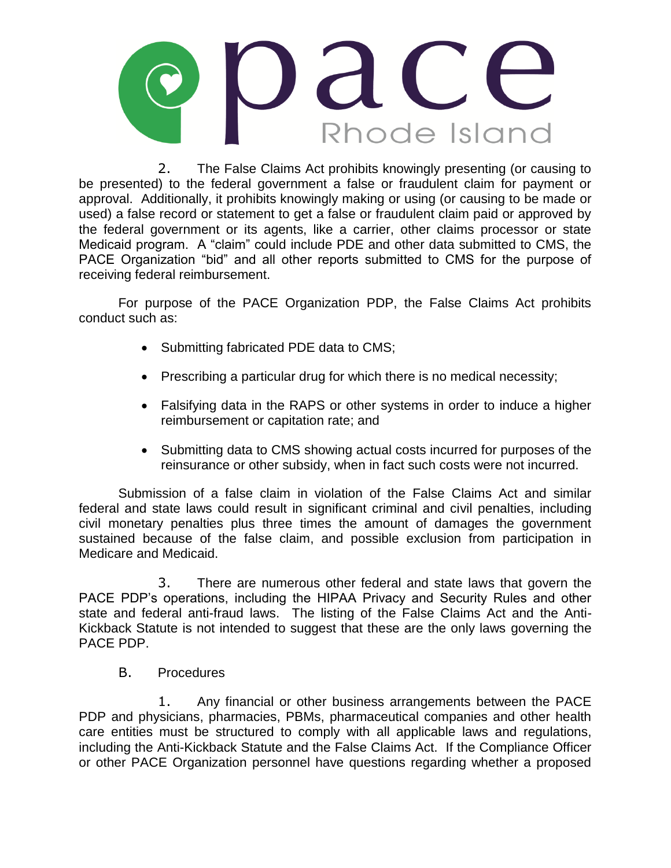

2. The False Claims Act prohibits knowingly presenting (or causing to be presented) to the federal government a false or fraudulent claim for payment or approval. Additionally, it prohibits knowingly making or using (or causing to be made or used) a false record or statement to get a false or fraudulent claim paid or approved by the federal government or its agents, like a carrier, other claims processor or state Medicaid program. A "claim" could include PDE and other data submitted to CMS, the PACE Organization "bid" and all other reports submitted to CMS for the purpose of receiving federal reimbursement.

For purpose of the PACE Organization PDP, the False Claims Act prohibits conduct such as:

- Submitting fabricated PDE data to CMS;
- Prescribing a particular drug for which there is no medical necessity;
- Falsifying data in the RAPS or other systems in order to induce a higher reimbursement or capitation rate; and
- Submitting data to CMS showing actual costs incurred for purposes of the reinsurance or other subsidy, when in fact such costs were not incurred.

Submission of a false claim in violation of the False Claims Act and similar federal and state laws could result in significant criminal and civil penalties, including civil monetary penalties plus three times the amount of damages the government sustained because of the false claim, and possible exclusion from participation in Medicare and Medicaid.

3. There are numerous other federal and state laws that govern the PACE PDP's operations, including the HIPAA Privacy and Security Rules and other state and federal anti-fraud laws. The listing of the False Claims Act and the Anti-Kickback Statute is not intended to suggest that these are the only laws governing the PACE PDP.

B. Procedures

1. Any financial or other business arrangements between the PACE PDP and physicians, pharmacies, PBMs, pharmaceutical companies and other health care entities must be structured to comply with all applicable laws and regulations, including the Anti-Kickback Statute and the False Claims Act. If the Compliance Officer or other PACE Organization personnel have questions regarding whether a proposed